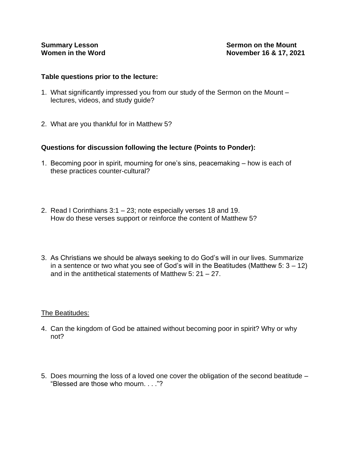## **Table questions prior to the lecture:**

- 1. What significantly impressed you from our study of the Sermon on the Mount lectures, videos, and study guide?
- 2. What are you thankful for in Matthew 5?

## **Questions for discussion following the lecture (Points to Ponder):**

- 1. Becoming poor in spirit, mourning for one's sins, peacemaking how is each of these practices counter-cultural?
- 2. Read I Corinthians 3:1 23; note especially verses 18 and 19. How do these verses support or reinforce the content of Matthew 5?
- 3. As Christians we should be always seeking to do God's will in our lives. Summarize in a sentence or two what you see of God's will in the Beatitudes (Matthew  $5: 3 - 12$ ) and in the antithetical statements of Matthew 5: 21 – 27.

## The Beatitudes:

- 4. Can the kingdom of God be attained without becoming poor in spirit? Why or why not?
- 5. Does mourning the loss of a loved one cover the obligation of the second beatitude "Blessed are those who mourn. . . ."?